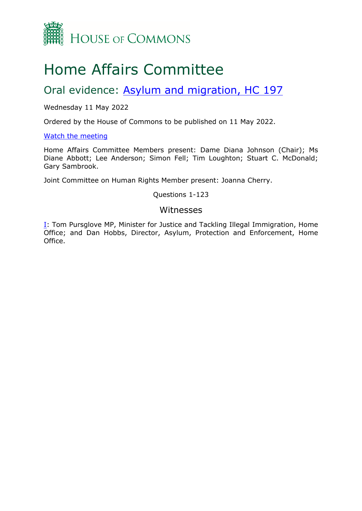

# Home Affairs Committee

## Oral evidence: [Asylum](https://committees.parliament.uk/work/6682/migration-and-asylum/) [and](https://committees.parliament.uk/work/6682/migration-and-asylum/) [migration,](https://committees.parliament.uk/work/6682/migration-and-asylum/) [HC](https://committees.parliament.uk/work/6682/migration-and-asylum/) [197](https://committees.parliament.uk/work/6682/migration-and-asylum/)

Wednesday 11 May 2022

Ordered by the House of Commons to be published on 11 May 2022.

[Watch](https://parliamentlive.tv/event/index/2ac50550-b564-4f64-9d25-b0f932fe3c8e) [the](https://parliamentlive.tv/event/index/2ac50550-b564-4f64-9d25-b0f932fe3c8e) [meeting](https://parliamentlive.tv/event/index/2ac50550-b564-4f64-9d25-b0f932fe3c8e)

Home Affairs Committee Members present: Dame Diana Johnson (Chair); Ms Diane Abbott; Lee Anderson; Simon Fell; Tim Loughton; Stuart C. McDonald; Gary Sambrook.

Joint Committee on Human Rights Member present: Joanna Cherry.

Questions 1-123

## Witnesses

[I:](#page-1-0) Tom Pursglove MP, Minister for Justice and Tackling Illegal Immigration, Home Office; and Dan Hobbs, Director, Asylum, Protection and Enforcement, Home Office.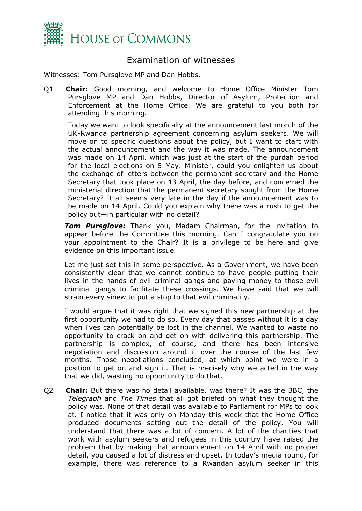

## <span id="page-1-0"></span>Examination of witnesses

Witnesses: Tom Pursglove MP and Dan Hobbs.

Q1 **Chair:** Good morning, and welcome to Home Office Minister Tom Pursglove MP and Dan Hobbs, Director of Asylum, Protection and Enforcement at the Home Office. We are grateful to you both for attending this morning.

Today we want to look specifically at the announcement last month of the UK-Rwanda partnership agreement concerning asylum seekers. We will move on to specific questions about the policy, but I want to start with the actual announcement and the way it was made. The announcement was made on 14 April, which was just at the start of the purdah period for the local elections on 5 May. Minister, could you enlighten us about the exchange of letters between the permanent secretary and the Home Secretary that took place on 13 April, the day before, and concerned the ministerial direction that the permanent secretary sought from the Home Secretary? It all seems very late in the day if the announcement was to be made on 14 April. Could you explain why there was a rush to get the policy out—in particular with no detail?

*Tom Pursglove:* Thank you, Madam Chairman, for the invitation to appear before the Committee this morning. Can I congratulate you on your appointment to the Chair? It is a privilege to be here and give evidence on this important issue.

Let me just set this in some perspective. As a Government, we have been consistently clear that we cannot continue to have people putting their lives in the hands of evil criminal gangs and paying money to those evil criminal gangs to facilitate these crossings. We have said that we will strain every sinew to put a stop to that evil criminality.

I would argue that it was right that we signed this new partnership at the first opportunity we had to do so. Every day that passes without it is a day when lives can potentially be lost in the channel. We wanted to waste no opportunity to crack on and get on with delivering this partnership. The partnership is complex, of course, and there has been intensive negotiation and discussion around it over the course of the last few months. Those negotiations concluded, at which point we were in a position to get on and sign it. That is precisely why we acted in the way that we did, wasting no opportunity to do that.

Q2 **Chair:** But there was no detail available, was there? It was the BBC, the *Telegraph* and *The Times* that all got briefed on what they thought the policy was. None of that detail was available to Parliament for MPs to look at. I notice that it was only on Monday this week that the Home Office produced documents setting out the detail of the policy. You will understand that there was a lot of concern. A lot of the charities that work with asylum seekers and refugees in this country have raised the problem that by making that announcement on 14 April with no proper detail, you caused a lot of distress and upset. In today's media round, for example, there was reference to a Rwandan asylum seeker in this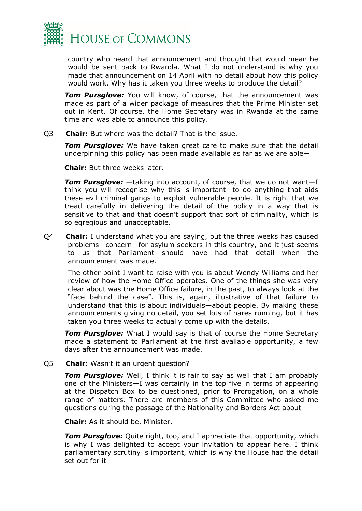

country who heard that announcement and thought that would mean he would be sent back to Rwanda. What I do not understand is why you made that announcement on 14 April with no detail about how this policy would work. Why has it taken you three weeks to produce the detail?

*Tom Pursglove:* You will know, of course, that the announcement was made as part of a wider package of measures that the Prime Minister set out in Kent. Of course, the Home Secretary was in Rwanda at the same time and was able to announce this policy.

Q3 **Chair:** But where was the detail? That is the issue.

*Tom Pursglove:* We have taken great care to make sure that the detail underpinning this policy has been made available as far as we are able—

**Chair:** But three weeks later.

*Tom Pursglove:* —taking into account, of course, that we do not want—I think you will recognise why this is important—to do anything that aids these evil criminal gangs to exploit vulnerable people. It is right that we tread carefully in delivering the detail of the policy in a way that is sensitive to that and that doesn't support that sort of criminality, which is so egregious and unacceptable.

Q4 **Chair:** I understand what you are saying, but the three weeks has caused problems—concern—for asylum seekers in this country, and it just seems to us that Parliament should have had that detail when the announcement was made.

The other point I want to raise with you is about Wendy Williams and her review of how the Home Office operates. One of the things she was very clear about was the Home Office failure, in the past, to always look at the "face behind the case". This is, again, illustrative of that failure to understand that this is about individuals—about people. By making these announcements giving no detail, you set lots of hares running, but it has taken you three weeks to actually come up with the details.

*Tom Pursglove:* What I would say is that of course the Home Secretary made a statement to Parliament at the first available opportunity, a few days after the announcement was made.

Q5 **Chair:** Wasn't it an urgent question?

**Tom Pursglove:** Well, I think it is fair to say as well that I am probably one of the Ministers—I was certainly in the top five in terms of appearing at the Dispatch Box to be questioned, prior to Prorogation, on a whole range of matters. There are members of this Committee who asked me questions during the passage of the Nationality and Borders Act about—

**Chair:** As it should be, Minister.

*Tom Pursglove:* Quite right, too, and I appreciate that opportunity, which is why I was delighted to accept your invitation to appear here. I think parliamentary scrutiny is important, which is why the House had the detail set out for it—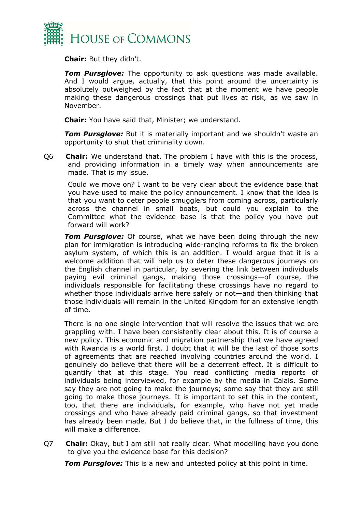

**Chair:** But they didn't.

*Tom Pursglove:* The opportunity to ask questions was made available. And I would argue, actually, that this point around the uncertainty is absolutely outweighed by the fact that at the moment we have people making these dangerous crossings that put lives at risk, as we saw in November.

**Chair:** You have said that, Minister; we understand.

**Tom Pursglove:** But it is materially important and we shouldn't waste an opportunity to shut that criminality down.

Q6 **Chair:** We understand that. The problem I have with this is the process, and providing information in a timely way when announcements are made. That is my issue.

Could we move on? I want to be very clear about the evidence base that you have used to make the policy announcement. I know that the idea is that you want to deter people smugglers from coming across, particularly across the channel in small boats, but could you explain to the Committee what the evidence base is that the policy you have put forward will work?

*Tom Pursglove:* Of course, what we have been doing through the new plan for immigration is introducing wide-ranging reforms to fix the broken asylum system, of which this is an addition. I would argue that it is a welcome addition that will help us to deter these dangerous journeys on the English channel in particular, by severing the link between individuals paying evil criminal gangs, making those crossings—of course, the individuals responsible for facilitating these crossings have no regard to whether those individuals arrive here safely or not—and then thinking that those individuals will remain in the United Kingdom for an extensive length of time.

There is no one single intervention that will resolve the issues that we are grappling with. I have been consistently clear about this. It is of course a new policy. This economic and migration partnership that we have agreed with Rwanda is a world first. I doubt that it will be the last of those sorts of agreements that are reached involving countries around the world. I genuinely do believe that there will be a deterrent effect. It is difficult to quantify that at this stage. You read conflicting media reports of individuals being interviewed, for example by the media in Calais. Some say they are not going to make the journeys; some say that they are still going to make those journeys. It is important to set this in the context, too, that there are individuals, for example, who have not yet made crossings and who have already paid criminal gangs, so that investment has already been made. But I do believe that, in the fullness of time, this will make a difference.

Q7 **Chair:** Okay, but I am still not really clear. What modelling have you done to give you the evidence base for this decision?

*Tom Pursglove:* This is a new and untested policy at this point in time.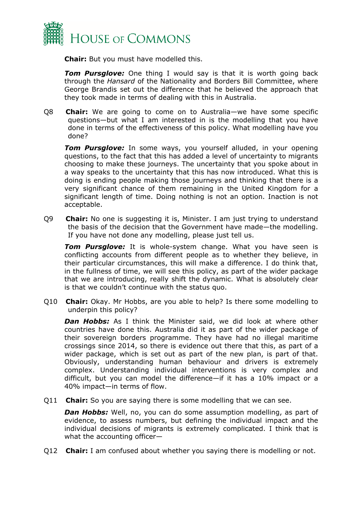

**Chair:** But you must have modelled this.

*Tom Pursglove:* One thing I would say is that it is worth going back through the *Hansard* of the Nationality and Borders Bill Committee, where George Brandis set out the difference that he believed the approach that they took made in terms of dealing with this in Australia.

Q8 **Chair:** We are going to come on to Australia—we have some specific questions—but what I am interested in is the modelling that you have done in terms of the effectiveness of this policy. What modelling have you done?

*Tom Pursglove:* In some ways, you yourself alluded, in your opening questions, to the fact that this has added a level of uncertainty to migrants choosing to make these journeys. The uncertainty that you spoke about in a way speaks to the uncertainty that this has now introduced. What this is doing is ending people making those journeys and thinking that there is a very significant chance of them remaining in the United Kingdom for a significant length of time. Doing nothing is not an option. Inaction is not acceptable.

Q9 **Chair:** No one is suggesting it is, Minister. I am just trying to understand the basis of the decision that the Government have made—the modelling. If you have not done any modelling, please just tell us.

*Tom Pursglove:* It is whole-system change. What you have seen is conflicting accounts from different people as to whether they believe, in their particular circumstances, this will make a difference. I do think that, in the fullness of time, we will see this policy, as part of the wider package that we are introducing, really shift the dynamic. What is absolutely clear is that we couldn't continue with the status quo.

Q10 **Chair:** Okay. Mr Hobbs, are you able to help? Is there some modelling to underpin this policy?

*Dan Hobbs:* As I think the Minister said, we did look at where other countries have done this. Australia did it as part of the wider package of their sovereign borders programme. They have had no illegal maritime crossings since 2014, so there is evidence out there that this, as part of a wider package, which is set out as part of the new plan, is part of that. Obviously, understanding human behaviour and drivers is extremely complex. Understanding individual interventions is very complex and difficult, but you can model the difference—if it has a 10% impact or a 40% impact—in terms of flow.

Q11 **Chair:** So you are saying there is some modelling that we can see.

*Dan Hobbs:* Well, no, you can do some assumption modelling, as part of evidence, to assess numbers, but defining the individual impact and the individual decisions of migrants is extremely complicated. I think that is what the accounting officer—

Q12 **Chair:** I am confused about whether you saying there is modelling or not.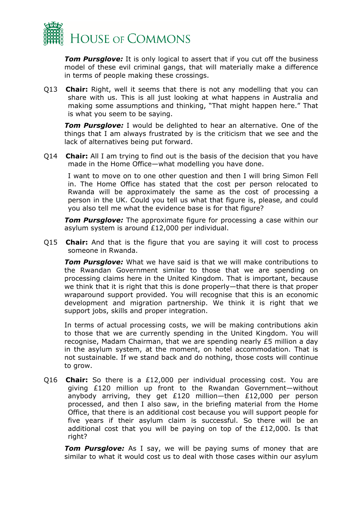

*Tom Pursglove:* It is only logical to assert that if you cut off the business model of these evil criminal gangs, that will materially make a difference in terms of people making these crossings.

Q13 **Chair:** Right, well it seems that there is not any modelling that you can share with us. This is all just looking at what happens in Australia and making some assumptions and thinking, "That might happen here." That is what you seem to be saying.

*Tom Pursglove:* I would be delighted to hear an alternative. One of the things that I am always frustrated by is the criticism that we see and the lack of alternatives being put forward.

Q14 **Chair:** All I am trying to find out is the basis of the decision that you have made in the Home Office—what modelling you have done.

I want to move on to one other question and then I will bring Simon Fell in. The Home Office has stated that the cost per person relocated to Rwanda will be approximately the same as the cost of processing a person in the UK. Could you tell us what that figure is, please, and could you also tell me what the evidence base is for that figure?

*Tom Pursglove:* The approximate figure for processing a case within our asylum system is around £12,000 per individual.

Q15 **Chair:** And that is the figure that you are saying it will cost to process someone in Rwanda.

*Tom Pursglove:* What we have said is that we will make contributions to the Rwandan Government similar to those that we are spending on processing claims here in the United Kingdom. That is important, because we think that it is right that this is done properly—that there is that proper wraparound support provided. You will recognise that this is an economic development and migration partnership. We think it is right that we support jobs, skills and proper integration.

In terms of actual processing costs, we will be making contributions akin to those that we are currently spending in the United Kingdom. You will recognise, Madam Chairman, that we are spending nearly £5 million a day in the asylum system, at the moment, on hotel accommodation. That is not sustainable. If we stand back and do nothing, those costs will continue to grow.

Q16 **Chair:** So there is a £12,000 per individual processing cost. You are giving £120 million up front to the Rwandan Government—without anybody arriving, they get £120 million—then £12,000 per person processed, and then I also saw, in the briefing material from the Home Office, that there is an additional cost because you will support people for five years if their asylum claim is successful. So there will be an additional cost that you will be paying on top of the  $£12,000$ . Is that right?

**Tom Pursglove:** As I say, we will be paying sums of money that are similar to what it would cost us to deal with those cases within our asylum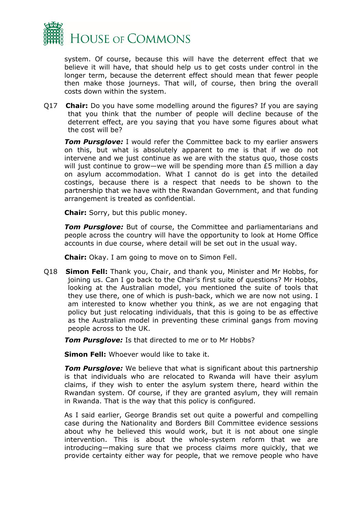

system. Of course, because this will have the deterrent effect that we believe it will have, that should help us to get costs under control in the longer term, because the deterrent effect should mean that fewer people then make those journeys. That will, of course, then bring the overall costs down within the system.

Q17 **Chair:** Do you have some modelling around the figures? If you are saying that you think that the number of people will decline because of the deterrent effect, are you saying that you have some figures about what the cost will be?

*Tom Pursglove:* I would refer the Committee back to my earlier answers on this, but what is absolutely apparent to me is that if we do not intervene and we just continue as we are with the status quo, those costs will just continue to grow—we will be spending more than £5 million a day on asylum accommodation. What I cannot do is get into the detailed costings, because there is a respect that needs to be shown to the partnership that we have with the Rwandan Government, and that funding arrangement is treated as confidential.

**Chair:** Sorry, but this public money.

*Tom Pursglove:* But of course, the Committee and parliamentarians and people across the country will have the opportunity to look at Home Office accounts in due course, where detail will be set out in the usual way.

**Chair:** Okay. I am going to move on to Simon Fell.

Q18 **Simon Fell:** Thank you, Chair, and thank you, Minister and Mr Hobbs, for joining us. Can I go back to the Chair's first suite of questions? Mr Hobbs, looking at the Australian model, you mentioned the suite of tools that they use there, one of which is push-back, which we are now not using. I am interested to know whether you think, as we are not engaging that policy but just relocating individuals, that this is going to be as effective as the Australian model in preventing these criminal gangs from moving people across to the UK.

*Tom Pursglove:* Is that directed to me or to Mr Hobbs?

**Simon Fell:** Whoever would like to take it.

*Tom Pursglove:* We believe that what is significant about this partnership is that individuals who are relocated to Rwanda will have their asylum claims, if they wish to enter the asylum system there, heard within the Rwandan system. Of course, if they are granted asylum, they will remain in Rwanda. That is the way that this policy is configured.

As I said earlier, George Brandis set out quite a powerful and compelling case during the Nationality and Borders Bill Committee evidence sessions about why he believed this would work, but it is not about one single intervention. This is about the whole-system reform that we are introducing—making sure that we process claims more quickly, that we provide certainty either way for people, that we remove people who have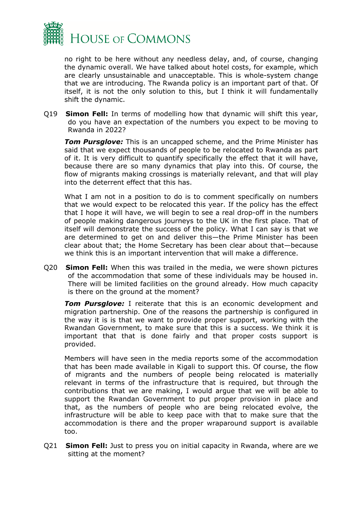

no right to be here without any needless delay, and, of course, changing the dynamic overall. We have talked about hotel costs, for example, which are clearly unsustainable and unacceptable. This is whole-system change that we are introducing. The Rwanda policy is an important part of that. Of itself, it is not the only solution to this, but I think it will fundamentally shift the dynamic.

Q19 **Simon Fell:** In terms of modelling how that dynamic will shift this year, do you have an expectation of the numbers you expect to be moving to Rwanda in 2022?

**Tom Pursglove:** This is an uncapped scheme, and the Prime Minister has said that we expect thousands of people to be relocated to Rwanda as part of it. It is very difficult to quantify specifically the effect that it will have, because there are so many dynamics that play into this. Of course, the flow of migrants making crossings is materially relevant, and that will play into the deterrent effect that this has.

What I am not in a position to do is to comment specifically on numbers that we would expect to be relocated this year. If the policy has the effect that I hope it will have, we will begin to see a real drop-off in the numbers of people making dangerous journeys to the UK in the first place. That of itself will demonstrate the success of the policy. What I can say is that we are determined to get on and deliver this—the Prime Minister has been clear about that; the Home Secretary has been clear about that—because we think this is an important intervention that will make a difference.

Q20 **Simon Fell:** When this was trailed in the media, we were shown pictures of the accommodation that some of these individuals may be housed in. There will be limited facilities on the ground already. How much capacity is there on the ground at the moment?

*Tom Pursglove:* I reiterate that this is an economic development and migration partnership. One of the reasons the partnership is configured in the way it is is that we want to provide proper support, working with the Rwandan Government, to make sure that this is a success. We think it is important that that is done fairly and that proper costs support is provided.

Members will have seen in the media reports some of the accommodation that has been made available in Kigali to support this. Of course, the flow of migrants and the numbers of people being relocated is materially relevant in terms of the infrastructure that is required, but through the contributions that we are making, I would argue that we will be able to support the Rwandan Government to put proper provision in place and that, as the numbers of people who are being relocated evolve, the infrastructure will be able to keep pace with that to make sure that the accommodation is there and the proper wraparound support is available too.

Q21 **Simon Fell:** Just to press you on initial capacity in Rwanda, where are we sitting at the moment?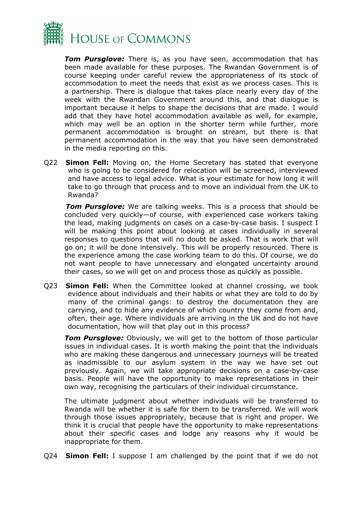

*Tom Pursglove:* There is, as you have seen, accommodation that has been made available for these purposes. The Rwandan Government is of course keeping under careful review the appropriateness of its stock of accommodation to meet the needs that exist as we process cases. This is a partnership. There is dialogue that takes place nearly every day of the week with the Rwandan Government around this, and that dialogue is important because it helps to shape the decisions that are made. I would add that they have hotel accommodation available as well, for example, which may well be an option in the shorter term while further, more permanent accommodation is brought on stream, but there is that permanent accommodation in the way that you have seen demonstrated in the media reporting on this.

Q22 **Simon Fell:** Moving on, the Home Secretary has stated that everyone who is going to be considered for relocation will be screened, interviewed and have access to legal advice. What is your estimate for how long it will take to go through that process and to move an individual from the UK to Rwanda?

*Tom Pursglove:* We are talking weeks. This is a process that should be concluded very quickly—of course, with experienced case workers taking the lead, making judgments on cases on a case-by-case basis. I suspect I will be making this point about looking at cases individually in several responses to questions that will no doubt be asked. That is work that will go on; it will be done intensively. This will be properly resourced. There is the experience among the case working team to do this. Of course, we do not want people to have unnecessary and elongated uncertainty around their cases, so we will get on and process those as quickly as possible.

Q23 **Simon Fell:** When the Committee looked at channel crossing, we took evidence about individuals and their habits or what they are told to do by many of the criminal gangs: to destroy the documentation they are carrying, and to hide any evidence of which country they come from and, often, their age. Where individuals are arriving in the UK and do not have documentation, how will that play out in this process?

*Tom Pursglove:* Obviously, we will get to the bottom of those particular issues in individual cases. It is worth making the point that the individuals who are making these dangerous and unnecessary journeys will be treated as inadmissible to our asylum system in the way we have set out previously. Again, we will take appropriate decisions on a case-by-case basis. People will have the opportunity to make representations in their own way, recognising the particulars of their individual circumstance.

The ultimate judgment about whether individuals will be transferred to Rwanda will be whether it is safe for them to be transferred. We will work through those issues appropriately, because that is right and proper. We think it is crucial that people have the opportunity to make representations about their specific cases and lodge any reasons why it would be inappropriate for them.

Q24 **Simon Fell:** I suppose I am challenged by the point that if we do not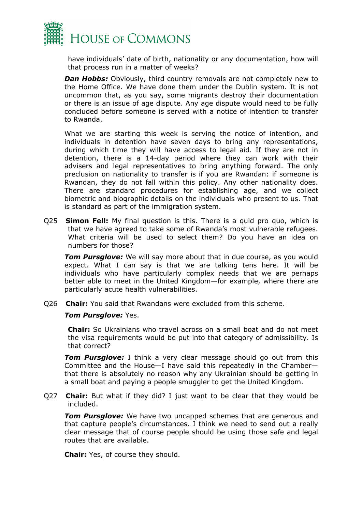

have individuals' date of birth, nationality or any documentation, how will that process run in a matter of weeks?

**Dan Hobbs:** Obviously, third country removals are not completely new to the Home Office. We have done them under the Dublin system. It is not uncommon that, as you say, some migrants destroy their documentation or there is an issue of age dispute. Any age dispute would need to be fully concluded before someone is served with a notice of intention to transfer to Rwanda.

What we are starting this week is serving the notice of intention, and individuals in detention have seven days to bring any representations, during which time they will have access to legal aid. If they are not in detention, there is a 14-day period where they can work with their advisers and legal representatives to bring anything forward. The only preclusion on nationality to transfer is if you are Rwandan: if someone is Rwandan, they do not fall within this policy. Any other nationality does. There are standard procedures for establishing age, and we collect biometric and biographic details on the individuals who present to us. That is standard as part of the immigration system.

Q25 **Simon Fell:** My final question is this. There is a quid pro quo, which is that we have agreed to take some of Rwanda's most vulnerable refugees. What criteria will be used to select them? Do you have an idea on numbers for those?

*Tom Pursglove:* We will say more about that in due course, as you would expect. What I can say is that we are talking tens here. It will be individuals who have particularly complex needs that we are perhaps better able to meet in the United Kingdom—for example, where there are particularly acute health vulnerabilities.

Q26 **Chair:** You said that Rwandans were excluded from this scheme.

#### *Tom Pursglove:* Yes.

**Chair:** So Ukrainians who travel across on a small boat and do not meet the visa requirements would be put into that category of admissibility. Is that correct?

*Tom Pursglove:* I think a very clear message should go out from this Committee and the House—I have said this repeatedly in the Chamber that there is absolutely no reason why any Ukrainian should be getting in a small boat and paying a people smuggler to get the United Kingdom.

Q27 **Chair:** But what if they did? I just want to be clear that they would be included.

*Tom Pursglove:* We have two uncapped schemes that are generous and that capture people's circumstances. I think we need to send out a really clear message that of course people should be using those safe and legal routes that are available.

**Chair:** Yes, of course they should.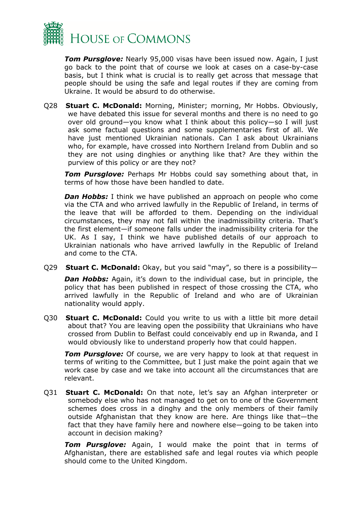

*Tom Pursglove:* Nearly 95,000 visas have been issued now. Again, I just go back to the point that of course we look at cases on a case-by-case basis, but I think what is crucial is to really get across that message that people should be using the safe and legal routes if they are coming from Ukraine. It would be absurd to do otherwise.

Q28 **Stuart C. McDonald:** Morning, Minister; morning, Mr Hobbs. Obviously, we have debated this issue for several months and there is no need to go over old ground—you know what I think about this policy—so I will just ask some factual questions and some supplementaries first of all. We have just mentioned Ukrainian nationals. Can I ask about Ukrainians who, for example, have crossed into Northern Ireland from Dublin and so they are not using dinghies or anything like that? Are they within the purview of this policy or are they not?

*Tom Pursglove:* Perhaps Mr Hobbs could say something about that, in terms of how those have been handled to date.

*Dan Hobbs:* I think we have published an approach on people who come via the CTA and who arrived lawfully in the Republic of Ireland, in terms of the leave that will be afforded to them. Depending on the individual circumstances, they may not fall within the inadmissibility criteria. That's the first element—if someone falls under the inadmissibility criteria for the UK. As I say, I think we have published details of our approach to Ukrainian nationals who have arrived lawfully in the Republic of Ireland and come to the CTA.

Q29 **Stuart C. McDonald:** Okay, but you said "may", so there is a possibility—

**Dan Hobbs:** Again, it's down to the individual case, but in principle, the policy that has been published in respect of those crossing the CTA, who arrived lawfully in the Republic of Ireland and who are of Ukrainian nationality would apply.

Q30 **Stuart C. McDonald:** Could you write to us with a little bit more detail about that? You are leaving open the possibility that Ukrainians who have crossed from Dublin to Belfast could conceivably end up in Rwanda, and I would obviously like to understand properly how that could happen.

**Tom Pursglove:** Of course, we are very happy to look at that request in terms of writing to the Committee, but I just make the point again that we work case by case and we take into account all the circumstances that are relevant.

Q31 **Stuart C. McDonald:** On that note, let's say an Afghan interpreter or somebody else who has not managed to get on to one of the Government schemes does cross in a dinghy and the only members of their family outside Afghanistan that they know are here. Are things like that—the fact that they have family here and nowhere else—going to be taken into account in decision making?

*Tom Pursglove:* Again, I would make the point that in terms of Afghanistan, there are established safe and legal routes via which people should come to the United Kingdom.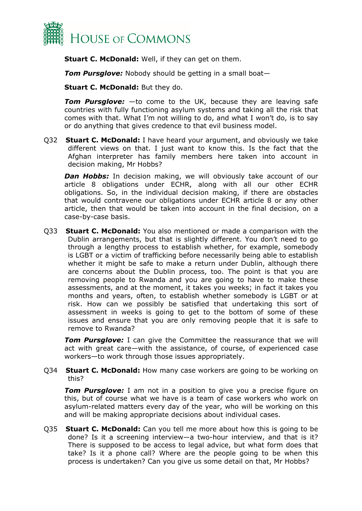

**Stuart C. McDonald:** Well, if they can get on them.

*Tom Pursglove:* Nobody should be getting in a small boat—

**Stuart C. McDonald:** But they do.

*Tom Pursglove:* —to come to the UK, because they are leaving safe countries with fully functioning asylum systems and taking all the risk that comes with that. What I'm not willing to do, and what I won't do, is to say or do anything that gives credence to that evil business model.

Q32 **Stuart C. McDonald:** I have heard your argument, and obviously we take different views on that. I just want to know this. Is the fact that the Afghan interpreter has family members here taken into account in decision making, Mr Hobbs?

**Dan Hobbs:** In decision making, we will obviously take account of our article 8 obligations under ECHR, along with all our other ECHR obligations. So, in the individual decision making, if there are obstacles that would contravene our obligations under ECHR article 8 or any other article, then that would be taken into account in the final decision, on a case-by-case basis.

Q33 **Stuart C. McDonald:** You also mentioned or made a comparison with the Dublin arrangements, but that is slightly different. You don't need to go through a lengthy process to establish whether, for example, somebody is LGBT or a victim of trafficking before necessarily being able to establish whether it might be safe to make a return under Dublin, although there are concerns about the Dublin process, too. The point is that you are removing people to Rwanda and you are going to have to make these assessments, and at the moment, it takes you weeks; in fact it takes you months and years, often, to establish whether somebody is LGBT or at risk. How can we possibly be satisfied that undertaking this sort of assessment in weeks is going to get to the bottom of some of these issues and ensure that you are only removing people that it is safe to remove to Rwanda?

*Tom Pursglove:* I can give the Committee the reassurance that we will act with great care—with the assistance, of course, of experienced case workers—to work through those issues appropriately.

Q34 **Stuart C. McDonald:** How many case workers are going to be working on this?

**Tom Pursglove:** I am not in a position to give you a precise figure on this, but of course what we have is a team of case workers who work on asylum-related matters every day of the year, who will be working on this and will be making appropriate decisions about individual cases.

Q35 **Stuart C. McDonald:** Can you tell me more about how this is going to be done? Is it a screening interview—a two-hour interview, and that is it? There is supposed to be access to legal advice, but what form does that take? Is it a phone call? Where are the people going to be when this process is undertaken? Can you give us some detail on that, Mr Hobbs?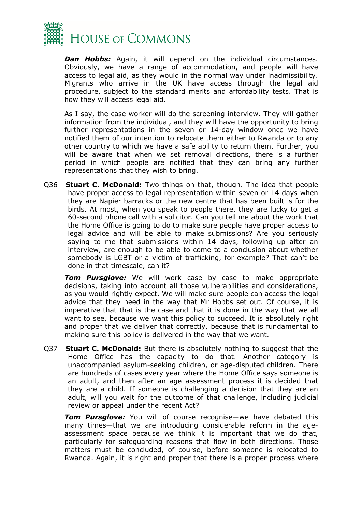

*Dan Hobbs:* Again, it will depend on the individual circumstances. Obviously, we have a range of accommodation, and people will have access to legal aid, as they would in the normal way under inadmissibility. Migrants who arrive in the UK have access through the legal aid procedure, subject to the standard merits and affordability tests. That is how they will access legal aid.

As I say, the case worker will do the screening interview. They will gather information from the individual, and they will have the opportunity to bring further representations in the seven or 14-day window once we have notified them of our intention to relocate them either to Rwanda or to any other country to which we have a safe ability to return them. Further, you will be aware that when we set removal directions, there is a further period in which people are notified that they can bring any further representations that they wish to bring.

Q36 **Stuart C. McDonald:** Two things on that, though. The idea that people have proper access to legal representation within seven or 14 days when they are Napier barracks or the new centre that has been built is for the birds. At most, when you speak to people there, they are lucky to get a 60-second phone call with a solicitor. Can you tell me about the work that the Home Office is going to do to make sure people have proper access to legal advice and will be able to make submissions? Are you seriously saying to me that submissions within 14 days, following up after an interview, are enough to be able to come to a conclusion about whether somebody is LGBT or a victim of trafficking, for example? That can't be done in that timescale, can it?

*Tom Pursglove:* We will work case by case to make appropriate decisions, taking into account all those vulnerabilities and considerations, as you would rightly expect. We will make sure people can access the legal advice that they need in the way that Mr Hobbs set out. Of course, it is imperative that that is the case and that it is done in the way that we all want to see, because we want this policy to succeed. It is absolutely right and proper that we deliver that correctly, because that is fundamental to making sure this policy is delivered in the way that we want.

Q37 **Stuart C. McDonald:** But there is absolutely nothing to suggest that the Home Office has the capacity to do that. Another category is unaccompanied asylum-seeking children, or age-disputed children. There are hundreds of cases every year where the Home Office says someone is an adult, and then after an age assessment process it is decided that they are a child. If someone is challenging a decision that they are an adult, will you wait for the outcome of that challenge, including judicial review or appeal under the recent Act?

*Tom Pursglove:* You will of course recognise—we have debated this many times—that we are introducing considerable reform in the ageassessment space because we think it is important that we do that, particularly for safeguarding reasons that flow in both directions. Those matters must be concluded, of course, before someone is relocated to Rwanda. Again, it is right and proper that there is a proper process where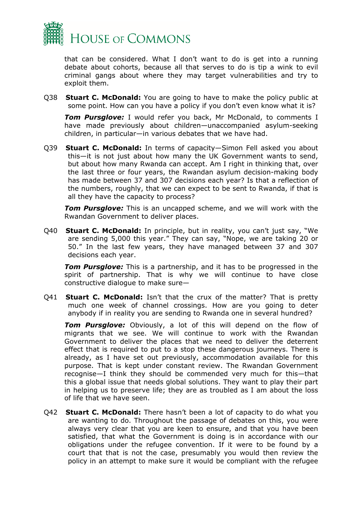

that can be considered. What I don't want to do is get into a running debate about cohorts, because all that serves to do is tip a wink to evil criminal gangs about where they may target vulnerabilities and try to exploit them.

Q38 **Stuart C. McDonald:** You are going to have to make the policy public at some point. How can you have a policy if you don't even know what it is?

*Tom Pursglove:* I would refer you back, Mr McDonald, to comments I have made previously about children—unaccompanied asylum-seeking children, in particular—in various debates that we have had.

Q39 **Stuart C. McDonald:** In terms of capacity—Simon Fell asked you about this—it is not just about how many the UK Government wants to send, but about how many Rwanda can accept. Am I right in thinking that, over the last three or four years, the Rwandan asylum decision-making body has made between 37 and 307 decisions each year? Is that a reflection of the numbers, roughly, that we can expect to be sent to Rwanda, if that is all they have the capacity to process?

*Tom Pursglove:* This is an uncapped scheme, and we will work with the Rwandan Government to deliver places.

Q40 **Stuart C. McDonald:** In principle, but in reality, you can't just say, "We are sending 5,000 this year." They can say, "Nope, we are taking 20 or 50." In the last few years, they have managed between 37 and 307 decisions each year.

*Tom Pursglove:* This is a partnership, and it has to be progressed in the spirit of partnership. That is why we will continue to have close constructive dialogue to make sure—

Q41 **Stuart C. McDonald:** Isn't that the crux of the matter? That is pretty much one week of channel crossings. How are you going to deter anybody if in reality you are sending to Rwanda one in several hundred?

*Tom Pursglove:* Obviously, a lot of this will depend on the flow of migrants that we see. We will continue to work with the Rwandan Government to deliver the places that we need to deliver the deterrent effect that is required to put to a stop these dangerous journeys. There is already, as I have set out previously, accommodation available for this purpose. That is kept under constant review. The Rwandan Government recognise—I think they should be commended very much for this—that this a global issue that needs global solutions. They want to play their part in helping us to preserve life; they are as troubled as I am about the loss of life that we have seen.

Q42 **Stuart C. McDonald:** There hasn't been a lot of capacity to do what you are wanting to do. Throughout the passage of debates on this, you were always very clear that you are keen to ensure, and that you have been satisfied, that what the Government is doing is in accordance with our obligations under the refugee convention. If it were to be found by a court that that is not the case, presumably you would then review the policy in an attempt to make sure it would be compliant with the refugee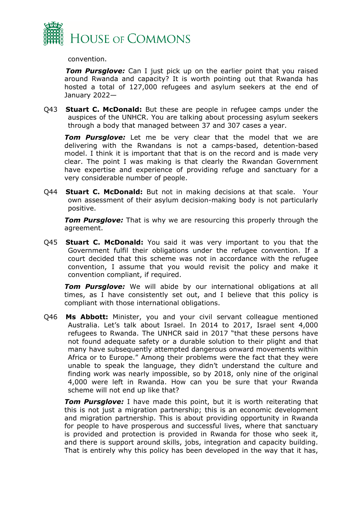

convention.

*Tom Pursglove:* Can I just pick up on the earlier point that you raised around Rwanda and capacity? It is worth pointing out that Rwanda has hosted a total of 127,000 refugees and asylum seekers at the end of January 2022—

Q43 **Stuart C. McDonald:** But these are people in refugee camps under the auspices of the UNHCR. You are talking about processing asylum seekers through a body that managed between 37 and 307 cases a year.

*Tom Pursglove:* Let me be very clear that the model that we are delivering with the Rwandans is not a camps-based, detention-based model. I think it is important that that is on the record and is made very clear. The point I was making is that clearly the Rwandan Government have expertise and experience of providing refuge and sanctuary for a very considerable number of people.

Q44 **Stuart C. McDonald:** But not in making decisions at that scale. Your own assessment of their asylum decision-making body is not particularly positive.

*Tom Pursglove:* That is why we are resourcing this properly through the agreement.

Q45 **Stuart C. McDonald:** You said it was very important to you that the Government fulfil their obligations under the refugee convention. If a court decided that this scheme was not in accordance with the refugee convention, I assume that you would revisit the policy and make it convention compliant, if required.

*Tom Pursglove:* We will abide by our international obligations at all times, as I have consistently set out, and I believe that this policy is compliant with those international obligations.

Q46 **Ms Abbott:** Minister, you and your civil servant colleague mentioned Australia. Let's talk about Israel. In 2014 to 2017, Israel sent 4,000 refugees to Rwanda. The UNHCR said in 2017 "that these persons have not found adequate safety or a durable solution to their plight and that many have subsequently attempted dangerous onward movements within Africa or to Europe." Among their problems were the fact that they were unable to speak the language, they didn't understand the culture and finding work was nearly impossible, so by 2018, only nine of the original 4,000 were left in Rwanda. How can you be sure that your Rwanda scheme will not end up like that?

*Tom Pursglove:* I have made this point, but it is worth reiterating that this is not just a migration partnership; this is an economic development and migration partnership. This is about providing opportunity in Rwanda for people to have prosperous and successful lives, where that sanctuary is provided and protection is provided in Rwanda for those who seek it, and there is support around skills, jobs, integration and capacity building. That is entirely why this policy has been developed in the way that it has,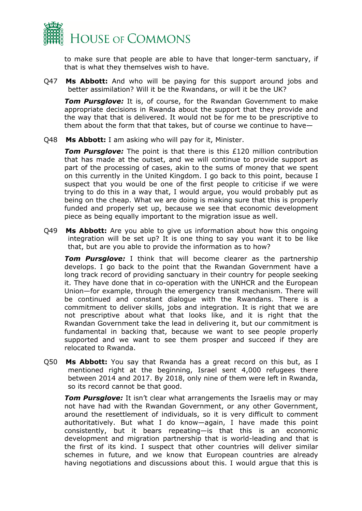

to make sure that people are able to have that longer-term sanctuary, if that is what they themselves wish to have.

Q47 **Ms Abbott:** And who will be paying for this support around jobs and better assimilation? Will it be the Rwandans, or will it be the UK?

*Tom Pursglove:* It is, of course, for the Rwandan Government to make appropriate decisions in Rwanda about the support that they provide and the way that that is delivered. It would not be for me to be prescriptive to them about the form that that takes, but of course we continue to have—

Q48 **Ms Abbott:** I am asking who will pay for it, Minister.

*Tom Pursglove:* The point is that there is this £120 million contribution that has made at the outset, and we will continue to provide support as part of the processing of cases, akin to the sums of money that we spent on this currently in the United Kingdom. I go back to this point, because I suspect that you would be one of the first people to criticise if we were trying to do this in a way that, I would argue, you would probably put as being on the cheap. What we are doing is making sure that this is properly funded and properly set up, because we see that economic development piece as being equally important to the migration issue as well.

Q49 **Ms Abbott:** Are you able to give us information about how this ongoing integration will be set up? It is one thing to say you want it to be like that, but are you able to provide the information as to how?

*Tom Pursglove:* I think that will become clearer as the partnership develops. I go back to the point that the Rwandan Government have a long track record of providing sanctuary in their country for people seeking it. They have done that in co-operation with the UNHCR and the European Union—for example, through the emergency transit mechanism. There will be continued and constant dialogue with the Rwandans. There is a commitment to deliver skills, jobs and integration. It is right that we are not prescriptive about what that looks like, and it is right that the Rwandan Government take the lead in delivering it, but our commitment is fundamental in backing that, because we want to see people properly supported and we want to see them prosper and succeed if they are relocated to Rwanda.

Q50 **Ms Abbott:** You say that Rwanda has a great record on this but, as I mentioned right at the beginning, Israel sent 4,000 refugees there between 2014 and 2017. By 2018, only nine of them were left in Rwanda, so its record cannot be that good.

*Tom Pursglove:* It isn't clear what arrangements the Israelis may or may not have had with the Rwandan Government, or any other Government, around the resettlement of individuals, so it is very difficult to comment authoritatively. But what I do know—again, I have made this point consistently, but it bears repeating—is that this is an economic development and migration partnership that is world-leading and that is the first of its kind. I suspect that other countries will deliver similar schemes in future, and we know that European countries are already having negotiations and discussions about this. I would argue that this is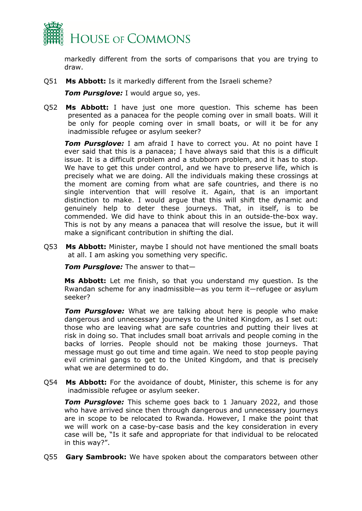

markedly different from the sorts of comparisons that you are trying to draw.

Q51 **Ms Abbott:** Is it markedly different from the Israeli scheme?

*Tom Pursglove:* I would argue so, yes.

Q52 **Ms Abbott:** I have just one more question. This scheme has been presented as a panacea for the people coming over in small boats. Will it be only for people coming over in small boats, or will it be for any inadmissible refugee or asylum seeker?

*Tom Pursglove:* I am afraid I have to correct you. At no point have I ever said that this is a panacea; I have always said that this is a difficult issue. It is a difficult problem and a stubborn problem, and it has to stop. We have to get this under control, and we have to preserve life, which is precisely what we are doing. All the individuals making these crossings at the moment are coming from what are safe countries, and there is no single intervention that will resolve it. Again, that is an important distinction to make. I would argue that this will shift the dynamic and genuinely help to deter these journeys. That, in itself, is to be commended. We did have to think about this in an outside-the-box way. This is not by any means a panacea that will resolve the issue, but it will make a significant contribution in shifting the dial.

Q53 **Ms Abbott:** Minister, maybe I should not have mentioned the small boats at all. I am asking you something very specific.

*Tom Pursglove:* The answer to that—

**Ms Abbott:** Let me finish, so that you understand my question. Is the Rwandan scheme for any inadmissible—as you term it—refugee or asylum seeker?

*Tom Pursglove:* What we are talking about here is people who make dangerous and unnecessary journeys to the United Kingdom, as I set out: those who are leaving what are safe countries and putting their lives at risk in doing so. That includes small boat arrivals and people coming in the backs of lorries. People should not be making those journeys. That message must go out time and time again. We need to stop people paying evil criminal gangs to get to the United Kingdom, and that is precisely what we are determined to do.

Q54 **Ms Abbott:** For the avoidance of doubt, Minister, this scheme is for any inadmissible refugee or asylum seeker.

**Tom Pursglove:** This scheme goes back to 1 January 2022, and those who have arrived since then through dangerous and unnecessary journeys are in scope to be relocated to Rwanda. However, I make the point that we will work on a case-by-case basis and the key consideration in every case will be, "Is it safe and appropriate for that individual to be relocated in this way?".

Q55 **Gary Sambrook:** We have spoken about the comparators between other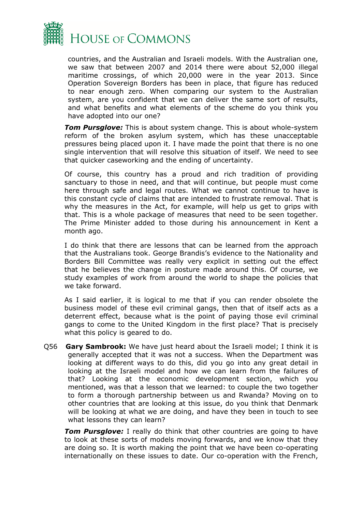

countries, and the Australian and Israeli models. With the Australian one, we saw that between 2007 and 2014 there were about 52,000 illegal maritime crossings, of which 20,000 were in the year 2013. Since Operation Sovereign Borders has been in place, that figure has reduced to near enough zero. When comparing our system to the Australian system, are you confident that we can deliver the same sort of results, and what benefits and what elements of the scheme do you think you have adopted into our one?

*Tom Pursglove:* This is about system change. This is about whole-system reform of the broken asylum system, which has these unacceptable pressures being placed upon it. I have made the point that there is no one single intervention that will resolve this situation of itself. We need to see that quicker caseworking and the ending of uncertainty.

Of course, this country has a proud and rich tradition of providing sanctuary to those in need, and that will continue, but people must come here through safe and legal routes. What we cannot continue to have is this constant cycle of claims that are intended to frustrate removal. That is why the measures in the Act, for example, will help us get to grips with that. This is a whole package of measures that need to be seen together. The Prime Minister added to those during his announcement in Kent a month ago.

I do think that there are lessons that can be learned from the approach that the Australians took. George Brandis's evidence to the Nationality and Borders Bill Committee was really very explicit in setting out the effect that he believes the change in posture made around this. Of course, we study examples of work from around the world to shape the policies that we take forward.

As I said earlier, it is logical to me that if you can render obsolete the business model of these evil criminal gangs, then that of itself acts as a deterrent effect, because what is the point of paying those evil criminal gangs to come to the United Kingdom in the first place? That is precisely what this policy is geared to do.

Q56 **Gary Sambrook:** We have just heard about the Israeli model; I think it is generally accepted that it was not a success. When the Department was looking at different ways to do this, did you go into any great detail in looking at the Israeli model and how we can learn from the failures of that? Looking at the economic development section, which you mentioned, was that a lesson that we learned: to couple the two together to form a thorough partnership between us and Rwanda? Moving on to other countries that are looking at this issue, do you think that Denmark will be looking at what we are doing, and have they been in touch to see what lessons they can learn?

*Tom Pursglove:* I really do think that other countries are going to have to look at these sorts of models moving forwards, and we know that they are doing so. It is worth making the point that we have been co-operating internationally on these issues to date. Our co-operation with the French,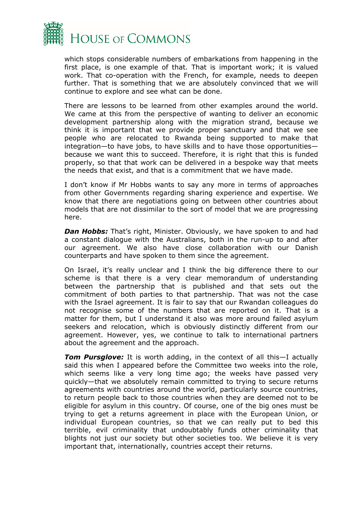

which stops considerable numbers of embarkations from happening in the first place, is one example of that. That is important work; it is valued work. That co-operation with the French, for example, needs to deepen further. That is something that we are absolutely convinced that we will continue to explore and see what can be done.

There are lessons to be learned from other examples around the world. We came at this from the perspective of wanting to deliver an economic development partnership along with the migration strand, because we think it is important that we provide proper sanctuary and that we see people who are relocated to Rwanda being supported to make that integration—to have jobs, to have skills and to have those opportunities because we want this to succeed. Therefore, it is right that this is funded properly, so that that work can be delivered in a bespoke way that meets the needs that exist, and that is a commitment that we have made.

I don't know if Mr Hobbs wants to say any more in terms of approaches from other Governments regarding sharing experience and expertise. We know that there are negotiations going on between other countries about models that are not dissimilar to the sort of model that we are progressing here.

**Dan Hobbs:** That's right, Minister. Obviously, we have spoken to and had a constant dialogue with the Australians, both in the run-up to and after our agreement. We also have close collaboration with our Danish counterparts and have spoken to them since the agreement.

On Israel, it's really unclear and I think the big difference there to our scheme is that there is a very clear memorandum of understanding between the partnership that is published and that sets out the commitment of both parties to that partnership. That was not the case with the Israel agreement. It is fair to say that our Rwandan colleagues do not recognise some of the numbers that are reported on it. That is a matter for them, but I understand it also was more around failed asylum seekers and relocation, which is obviously distinctly different from our agreement. However, yes, we continue to talk to international partners about the agreement and the approach.

*Tom Pursglove:* It is worth adding, in the context of all this—I actually said this when I appeared before the Committee two weeks into the role, which seems like a very long time ago; the weeks have passed very quickly—that we absolutely remain committed to trying to secure returns agreements with countries around the world, particularly source countries, to return people back to those countries when they are deemed not to be eligible for asylum in this country. Of course, one of the big ones must be trying to get a returns agreement in place with the European Union, or individual European countries, so that we can really put to bed this terrible, evil criminality that undoubtably funds other criminality that blights not just our society but other societies too. We believe it is very important that, internationally, countries accept their returns.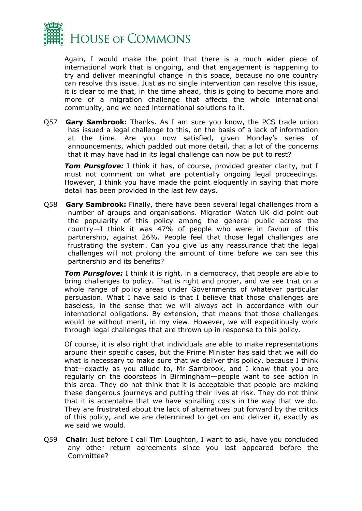

Again, I would make the point that there is a much wider piece of international work that is ongoing, and that engagement is happening to try and deliver meaningful change in this space, because no one country can resolve this issue. Just as no single intervention can resolve this issue, it is clear to me that, in the time ahead, this is going to become more and more of a migration challenge that affects the whole international community, and we need international solutions to it.

Q57 **Gary Sambrook:** Thanks. As I am sure you know, the PCS trade union has issued a legal challenge to this, on the basis of a lack of information at the time. Are you now satisfied, given Monday's series of announcements, which padded out more detail, that a lot of the concerns that it may have had in its legal challenge can now be put to rest?

*Tom Pursglove:* I think it has, of course, provided greater clarity, but I must not comment on what are potentially ongoing legal proceedings. However, I think you have made the point eloquently in saying that more detail has been provided in the last few days.

Q58 **Gary Sambrook:** Finally, there have been several legal challenges from a number of groups and organisations. Migration Watch UK did point out the popularity of this policy among the general public across the country—I think it was 47% of people who were in favour of this partnership, against 26%. People feel that those legal challenges are frustrating the system. Can you give us any reassurance that the legal challenges will not prolong the amount of time before we can see this partnership and its benefits?

*Tom Pursglove:* I think it is right, in a democracy, that people are able to bring challenges to policy. That is right and proper, and we see that on a whole range of policy areas under Governments of whatever particular persuasion. What I have said is that I believe that those challenges are baseless, in the sense that we will always act in accordance with our international obligations. By extension, that means that those challenges would be without merit, in my view. However, we will expeditiously work through legal challenges that are thrown up in response to this policy.

Of course, it is also right that individuals are able to make representations around their specific cases, but the Prime Minister has said that we will do what is necessary to make sure that we deliver this policy, because I think that—exactly as you allude to, Mr Sambrook, and I know that you are regularly on the doorsteps in Birmingham—people want to see action in this area. They do not think that it is acceptable that people are making these dangerous journeys and putting their lives at risk. They do not think that it is acceptable that we have spiralling costs in the way that we do. They are frustrated about the lack of alternatives put forward by the critics of this policy, and we are determined to get on and deliver it, exactly as we said we would.

Q59 **Chair:** Just before I call Tim Loughton, I want to ask, have you concluded any other return agreements since you last appeared before the Committee?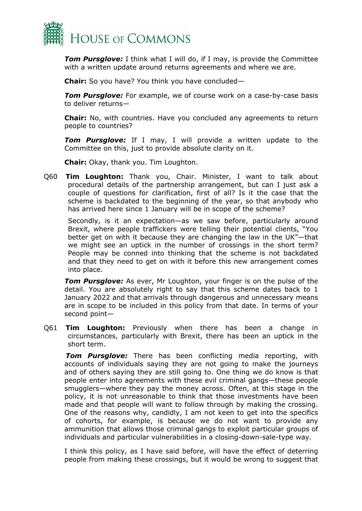

*Tom Pursglove:* I think what I will do, if I may, is provide the Committee with a written update around returns agreements and where we are.

**Chair:** So you have? You think you have concluded—

*Tom Pursglove:* For example, we of course work on a case-by-case basis to deliver returns—

**Chair:** No, with countries. Have you concluded any agreements to return people to countries?

*Tom Pursglove:* If I may, I will provide a written update to the Committee on this, just to provide absolute clarity on it.

**Chair:** Okay, thank you. Tim Loughton.

Q60 **Tim Loughton:** Thank you, Chair. Minister, I want to talk about procedural details of the partnership arrangement, but can I just ask a couple of questions for clarification, first of all? Is it the case that the scheme is backdated to the beginning of the year, so that anybody who has arrived here since 1 January will be in scope of the scheme?

Secondly, is it an expectation—as we saw before, particularly around Brexit, where people traffickers were telling their potential clients, "You better get on with it because they are changing the law in the UK"—that we might see an uptick in the number of crossings in the short term? People may be conned into thinking that the scheme is not backdated and that they need to get on with it before this new arrangement comes into place.

*Tom Pursglove:* As ever, Mr Loughton, your finger is on the pulse of the detail. You are absolutely right to say that this scheme dates back to 1 January 2022 and that arrivals through dangerous and unnecessary means are in scope to be included in this policy from that date. In terms of your second point—

Q61 **Tim Loughton:** Previously when there has been a change in circumstances, particularly with Brexit, there has been an uptick in the short term.

*Tom Pursglove:* There has been conflicting media reporting, with accounts of individuals saying they are not going to make the journeys and of others saying they are still going to. One thing we do know is that people enter into agreements with these evil criminal gangs—these people smugglers—where they pay the money across. Often, at this stage in the policy, it is not unreasonable to think that those investments have been made and that people will want to follow through by making the crossing. One of the reasons why, candidly, I am not keen to get into the specifics of cohorts, for example, is because we do not want to provide any ammunition that allows those criminal gangs to exploit particular groups of individuals and particular vulnerabilities in a closing-down-sale-type way.

I think this policy, as I have said before, will have the effect of deterring people from making these crossings, but it would be wrong to suggest that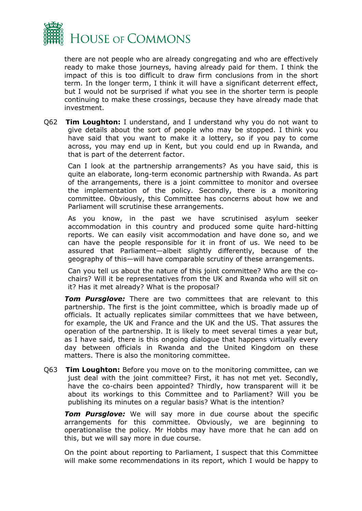

there are not people who are already congregating and who are effectively ready to make those journeys, having already paid for them. I think the impact of this is too difficult to draw firm conclusions from in the short term. In the longer term, I think it will have a significant deterrent effect, but I would not be surprised if what you see in the shorter term is people continuing to make these crossings, because they have already made that investment.

Q62 **Tim Loughton:** I understand, and I understand why you do not want to give details about the sort of people who may be stopped. I think you have said that you want to make it a lottery, so if you pay to come across, you may end up in Kent, but you could end up in Rwanda, and that is part of the deterrent factor.

Can I look at the partnership arrangements? As you have said, this is quite an elaborate, long-term economic partnership with Rwanda. As part of the arrangements, there is a joint committee to monitor and oversee the implementation of the policy. Secondly, there is a monitoring committee. Obviously, this Committee has concerns about how we and Parliament will scrutinise these arrangements.

As you know, in the past we have scrutinised asylum seeker accommodation in this country and produced some quite hard-hitting reports. We can easily visit accommodation and have done so, and we can have the people responsible for it in front of us. We need to be assured that Parliament—albeit slightly differently, because of the geography of this—will have comparable scrutiny of these arrangements.

Can you tell us about the nature of this joint committee? Who are the cochairs? Will it be representatives from the UK and Rwanda who will sit on it? Has it met already? What is the proposal?

*Tom Pursglove:* There are two committees that are relevant to this partnership. The first is the joint committee, which is broadly made up of officials. It actually replicates similar committees that we have between, for example, the UK and France and the UK and the US. That assures the operation of the partnership. It is likely to meet several times a year but, as I have said, there is this ongoing dialogue that happens virtually every day between officials in Rwanda and the United Kingdom on these matters. There is also the monitoring committee.

Q63 **Tim Loughton:** Before you move on to the monitoring committee, can we just deal with the joint committee? First, it has not met yet. Secondly, have the co-chairs been appointed? Thirdly, how transparent will it be about its workings to this Committee and to Parliament? Will you be publishing its minutes on a regular basis? What is the intention?

*Tom Pursglove:* We will say more in due course about the specific arrangements for this committee. Obviously, we are beginning to operationalise the policy. Mr Hobbs may have more that he can add on this, but we will say more in due course.

On the point about reporting to Parliament, I suspect that this Committee will make some recommendations in its report, which I would be happy to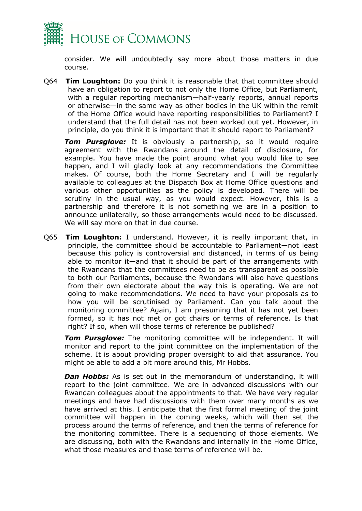

consider. We will undoubtedly say more about those matters in due course.

Q64 **Tim Loughton:** Do you think it is reasonable that that committee should have an obligation to report to not only the Home Office, but Parliament, with a regular reporting mechanism—half-yearly reports, annual reports or otherwise—in the same way as other bodies in the UK within the remit of the Home Office would have reporting responsibilities to Parliament? I understand that the full detail has not been worked out yet. However, in principle, do you think it is important that it should report to Parliament?

*Tom Pursglove:* It is obviously a partnership, so it would require agreement with the Rwandans around the detail of disclosure, for example. You have made the point around what you would like to see happen, and I will gladly look at any recommendations the Committee makes. Of course, both the Home Secretary and I will be regularly available to colleagues at the Dispatch Box at Home Office questions and various other opportunities as the policy is developed. There will be scrutiny in the usual way, as you would expect. However, this is a partnership and therefore it is not something we are in a position to announce unilaterally, so those arrangements would need to be discussed. We will say more on that in due course.

Q65 **Tim Loughton:** I understand. However, it is really important that, in principle, the committee should be accountable to Parliament—not least because this policy is controversial and distanced, in terms of us being able to monitor it—and that it should be part of the arrangements with the Rwandans that the committees need to be as transparent as possible to both our Parliaments, because the Rwandans will also have questions from their own electorate about the way this is operating. We are not going to make recommendations. We need to have your proposals as to how you will be scrutinised by Parliament. Can you talk about the monitoring committee? Again, I am presuming that it has not yet been formed, so it has not met or got chairs or terms of reference. Is that right? If so, when will those terms of reference be published?

*Tom Pursglove:* The monitoring committee will be independent. It will monitor and report to the joint committee on the implementation of the scheme. It is about providing proper oversight to aid that assurance. You might be able to add a bit more around this, Mr Hobbs.

**Dan Hobbs:** As is set out in the memorandum of understanding, it will report to the joint committee. We are in advanced discussions with our Rwandan colleagues about the appointments to that. We have very regular meetings and have had discussions with them over many months as we have arrived at this. I anticipate that the first formal meeting of the joint committee will happen in the coming weeks, which will then set the process around the terms of reference, and then the terms of reference for the monitoring committee. There is a sequencing of those elements. We are discussing, both with the Rwandans and internally in the Home Office, what those measures and those terms of reference will be.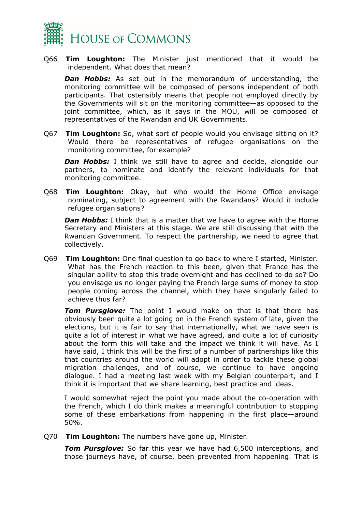

Q66 **Tim Loughton:** The Minister just mentioned that it would be independent. What does that mean?

*Dan Hobbs:* As set out in the memorandum of understanding, the monitoring committee will be composed of persons independent of both participants. That ostensibly means that people not employed directly by the Governments will sit on the monitoring committee—as opposed to the joint committee, which, as it says in the MOU, will be composed of representatives of the Rwandan and UK Governments.

Q67 **Tim Loughton:** So, what sort of people would you envisage sitting on it? Would there be representatives of refugee organisations on the monitoring committee, for example?

**Dan Hobbs:** I think we still have to agree and decide, alongside our partners, to nominate and identify the relevant individuals for that monitoring committee.

Q68 **Tim Loughton:** Okay, but who would the Home Office envisage nominating, subject to agreement with the Rwandans? Would it include refugee organisations?

**Dan Hobbs:** I think that is a matter that we have to agree with the Home Secretary and Ministers at this stage. We are still discussing that with the Rwandan Government. To respect the partnership, we need to agree that collectively.

Q69 **Tim Loughton:** One final question to go back to where I started, Minister. What has the French reaction to this been, given that France has the singular ability to stop this trade overnight and has declined to do so? Do you envisage us no longer paying the French large sums of money to stop people coming across the channel, which they have singularly failed to achieve thus far?

**Tom Pursglove:** The point I would make on that is that there has obviously been quite a lot going on in the French system of late, given the elections, but it is fair to say that internationally, what we have seen is quite a lot of interest in what we have agreed, and quite a lot of curiosity about the form this will take and the impact we think it will have. As I have said, I think this will be the first of a number of partnerships like this that countries around the world will adopt in order to tackle these global migration challenges, and of course, we continue to have ongoing dialogue. I had a meeting last week with my Belgian counterpart, and I think it is important that we share learning, best practice and ideas.

I would somewhat reject the point you made about the co-operation with the French, which I do think makes a meaningful contribution to stopping some of these embarkations from happening in the first place—around 50%.

Q70 **Tim Loughton:** The numbers have gone up, Minister.

*Tom Pursglove:* So far this year we have had 6,500 interceptions, and those journeys have, of course, been prevented from happening. That is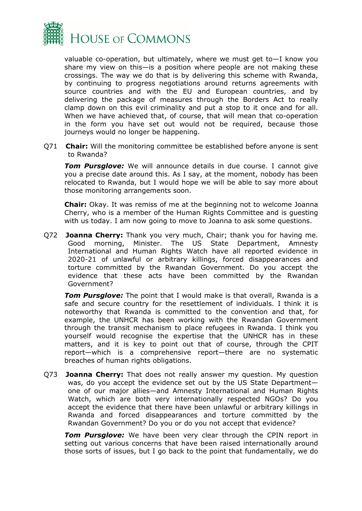

valuable co-operation, but ultimately, where we must get to—I know you share my view on this—is a position where people are not making these crossings. The way we do that is by delivering this scheme with Rwanda, by continuing to progress negotiations around returns agreements with source countries and with the EU and European countries, and by delivering the package of measures through the Borders Act to really clamp down on this evil criminality and put a stop to it once and for all. When we have achieved that, of course, that will mean that co-operation in the form you have set out would not be required, because those journeys would no longer be happening.

Q71 **Chair:** Will the monitoring committee be established before anyone is sent to Rwanda?

**Tom Pursglove:** We will announce details in due course. I cannot give you a precise date around this. As I say, at the moment, nobody has been relocated to Rwanda, but I would hope we will be able to say more about those monitoring arrangements soon.

**Chair:** Okay. It was remiss of me at the beginning not to welcome Joanna Cherry, who is a member of the Human Rights Committee and is guesting with us today. I am now going to move to Joanna to ask some questions.

Q72 **Joanna Cherry:** Thank you very much, Chair; thank you for having me. Good morning, Minister. The US State Department, Amnesty International and Human Rights Watch have all reported evidence in 2020-21 of unlawful or arbitrary killings, forced disappearances and torture committed by the Rwandan Government. Do you accept the evidence that these acts have been committed by the Rwandan Government?

*Tom Pursglove:* The point that I would make is that overall, Rwanda is a safe and secure country for the resettlement of individuals. I think it is noteworthy that Rwanda is committed to the convention and that, for example, the UNHCR has been working with the Rwandan Government through the transit mechanism to place refugees in Rwanda. I think you yourself would recognise the expertise that the UNHCR has in these matters, and it is key to point out that of course, through the CPIT report—which is a comprehensive report—there are no systematic breaches of human rights obligations.

Q73 **Joanna Cherry:** That does not really answer my question. My question was, do you accept the evidence set out by the US State Department one of our major allies—and Amnesty International and Human Rights Watch, which are both very internationally respected NGOs? Do you accept the evidence that there have been unlawful or arbitrary killings in Rwanda and forced disappearances and torture committed by the Rwandan Government? Do you or do you not accept that evidence?

*Tom Pursglove:* We have been very clear through the CPIN report in setting out various concerns that have been raised internationally around those sorts of issues, but I go back to the point that fundamentally, we do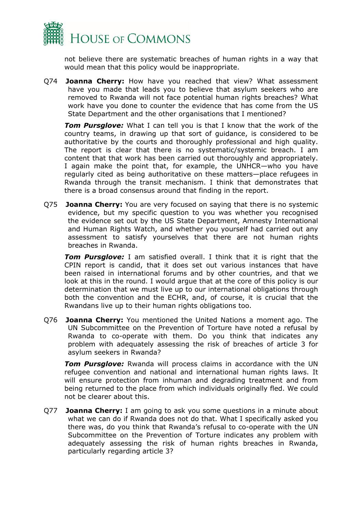

not believe there are systematic breaches of human rights in a way that would mean that this policy would be inappropriate.

Q74 **Joanna Cherry:** How have you reached that view? What assessment have you made that leads you to believe that asylum seekers who are removed to Rwanda will not face potential human rights breaches? What work have you done to counter the evidence that has come from the US State Department and the other organisations that I mentioned?

*Tom Pursglove:* What I can tell you is that I know that the work of the country teams, in drawing up that sort of guidance, is considered to be authoritative by the courts and thoroughly professional and high quality. The report is clear that there is no systematic/systemic breach. I am content that that work has been carried out thoroughly and appropriately. I again make the point that, for example, the UNHCR—who you have regularly cited as being authoritative on these matters—place refugees in Rwanda through the transit mechanism. I think that demonstrates that there is a broad consensus around that finding in the report.

Q75 **Joanna Cherry:** You are very focused on saying that there is no systemic evidence, but my specific question to you was whether you recognised the evidence set out by the US State Department, Amnesty International and Human Rights Watch, and whether you yourself had carried out any assessment to satisfy yourselves that there are not human rights breaches in Rwanda.

*Tom Pursglove:* I am satisfied overall. I think that it is right that the CPIN report is candid, that it does set out various instances that have been raised in international forums and by other countries, and that we look at this in the round. I would argue that at the core of this policy is our determination that we must live up to our international obligations through both the convention and the ECHR, and, of course, it is crucial that the Rwandans live up to their human rights obligations too.

Q76 **Joanna Cherry:** You mentioned the United Nations a moment ago. The UN Subcommittee on the Prevention of Torture have noted a refusal by Rwanda to co-operate with them. Do you think that indicates any problem with adequately assessing the risk of breaches of article 3 for asylum seekers in Rwanda?

*Tom Pursglove:* Rwanda will process claims in accordance with the UN refugee convention and national and international human rights laws. It will ensure protection from inhuman and degrading treatment and from being returned to the place from which individuals originally fled. We could not be clearer about this.

Q77 **Joanna Cherry:** I am going to ask you some questions in a minute about what we can do if Rwanda does not do that. What I specifically asked you there was, do you think that Rwanda's refusal to co-operate with the UN Subcommittee on the Prevention of Torture indicates any problem with adequately assessing the risk of human rights breaches in Rwanda, particularly regarding article 3?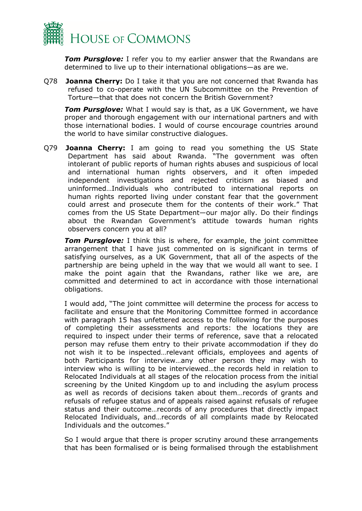

*Tom Pursglove:* I refer you to my earlier answer that the Rwandans are determined to live up to their international obligations—as are we.

Q78 **Joanna Cherry:** Do I take it that you are not concerned that Rwanda has refused to co-operate with the UN Subcommittee on the Prevention of Torture—that that does not concern the British Government?

*Tom Pursglove:* What I would say is that, as a UK Government, we have proper and thorough engagement with our international partners and with those international bodies. I would of course encourage countries around the world to have similar constructive dialogues.

Q79 **Joanna Cherry:** I am going to read you something the US State Department has said about Rwanda. "The government was often intolerant of public reports of human rights abuses and suspicious of local and international human rights observers, and it often impeded independent investigations and rejected criticism as biased and uninformed…Individuals who contributed to international reports on human rights reported living under constant fear that the government could arrest and prosecute them for the contents of their work." That comes from the US State Department—our major ally. Do their findings about the Rwandan Government's attitude towards human rights observers concern you at all?

*Tom Pursglove:* I think this is where, for example, the joint committee arrangement that I have just commented on is significant in terms of satisfying ourselves, as a UK Government, that all of the aspects of the partnership are being upheld in the way that we would all want to see. I make the point again that the Rwandans, rather like we are, are committed and determined to act in accordance with those international obligations.

I would add, "The joint committee will determine the process for access to facilitate and ensure that the Monitoring Committee formed in accordance with paragraph 15 has unfettered access to the following for the purposes of completing their assessments and reports: the locations they are required to inspect under their terms of reference, save that a relocated person may refuse them entry to their private accommodation if they do not wish it to be inspected…relevant officials, employees and agents of both Participants for interview…any other person they may wish to interview who is willing to be interviewed…the records held in relation to Relocated Individuals at all stages of the relocation process from the initial screening by the United Kingdom up to and including the asylum process as well as records of decisions taken about them…records of grants and refusals of refugee status and of appeals raised against refusals of refugee status and their outcome…records of any procedures that directly impact Relocated Individuals, and…records of all complaints made by Relocated Individuals and the outcomes."

So I would argue that there is proper scrutiny around these arrangements that has been formalised or is being formalised through the establishment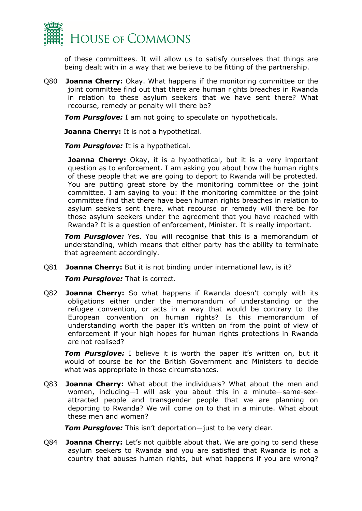

of these committees. It will allow us to satisfy ourselves that things are being dealt with in a way that we believe to be fitting of the partnership.

Q80 **Joanna Cherry:** Okay. What happens if the monitoring committee or the joint committee find out that there are human rights breaches in Rwanda in relation to these asylum seekers that we have sent there? What recourse, remedy or penalty will there be?

*Tom Pursglove:* I am not going to speculate on hypotheticals.

**Joanna Cherry:** It is not a hypothetical.

*Tom Pursglove:* It is a hypothetical.

**Joanna Cherry:** Okay, it is a hypothetical, but it is a very important question as to enforcement. I am asking you about how the human rights of these people that we are going to deport to Rwanda will be protected. You are putting great store by the monitoring committee or the joint committee. I am saying to you: if the monitoring committee or the joint committee find that there have been human rights breaches in relation to asylum seekers sent there, what recourse or remedy will there be for those asylum seekers under the agreement that you have reached with Rwanda? It is a question of enforcement, Minister. It is really important.

*Tom Pursglove:* Yes. You will recognise that this is a memorandum of understanding, which means that either party has the ability to terminate that agreement accordingly.

Q81 **Joanna Cherry:** But it is not binding under international law, is it?

*Tom Pursglove:* That is correct.

Q82 **Joanna Cherry:** So what happens if Rwanda doesn't comply with its obligations either under the memorandum of understanding or the refugee convention, or acts in a way that would be contrary to the European convention on human rights? Is this memorandum of understanding worth the paper it's written on from the point of view of enforcement if your high hopes for human rights protections in Rwanda are not realised?

**Tom Pursglove:** I believe it is worth the paper it's written on, but it would of course be for the British Government and Ministers to decide what was appropriate in those circumstances.

Q83 **Joanna Cherry:** What about the individuals? What about the men and women, including—I will ask you about this in a minute—same-sexattracted people and transgender people that we are planning on deporting to Rwanda? We will come on to that in a minute. What about these men and women?

*Tom Pursglove:* This isn't deportation—just to be very clear.

Q84 **Joanna Cherry:** Let's not quibble about that. We are going to send these asylum seekers to Rwanda and you are satisfied that Rwanda is not a country that abuses human rights, but what happens if you are wrong?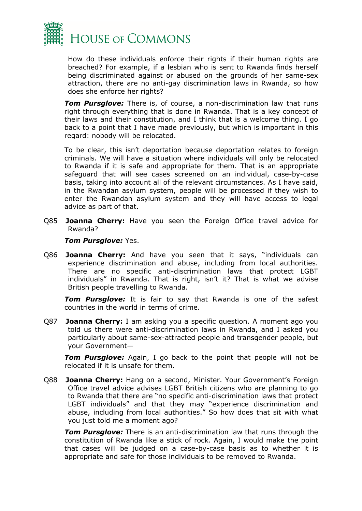

How do these individuals enforce their rights if their human rights are breached? For example, if a lesbian who is sent to Rwanda finds herself being discriminated against or abused on the grounds of her same-sex attraction, there are no anti-gay discrimination laws in Rwanda, so how does she enforce her rights?

*Tom Pursglove:* There is, of course, a non-discrimination law that runs right through everything that is done in Rwanda. That is a key concept of their laws and their constitution, and I think that is a welcome thing. I go back to a point that I have made previously, but which is important in this regard: nobody will be relocated.

To be clear, this isn't deportation because deportation relates to foreign criminals. We will have a situation where individuals will only be relocated to Rwanda if it is safe and appropriate for them. That is an appropriate safeguard that will see cases screened on an individual, case-by-case basis, taking into account all of the relevant circumstances. As I have said, in the Rwandan asylum system, people will be processed if they wish to enter the Rwandan asylum system and they will have access to legal advice as part of that.

Q85 **Joanna Cherry:** Have you seen the Foreign Office travel advice for Rwanda?

#### *Tom Pursglove: Yes.*

Q86 **Joanna Cherry:** And have you seen that it says, "individuals can experience discrimination and abuse, including from local authorities. There are no specific anti-discrimination laws that protect LGBT individuals" in Rwanda. That is right, isn't it? That is what we advise British people travelling to Rwanda.

*Tom Pursglove:* It is fair to say that Rwanda is one of the safest countries in the world in terms of crime.

Q87 **Joanna Cherry:** I am asking you a specific question. A moment ago you told us there were anti-discrimination laws in Rwanda, and I asked you particularly about same-sex-attracted people and transgender people, but your Government—

*Tom Pursglove:* Again, I go back to the point that people will not be relocated if it is unsafe for them.

Q88 **Joanna Cherry:** Hang on a second, Minister. Your Government's Foreign Office travel advice advises LGBT British citizens who are planning to go to Rwanda that there are "no specific anti-discrimination laws that protect LGBT individuals" and that they may "experience discrimination and abuse, including from local authorities." So how does that sit with what you just told me a moment ago?

*Tom Pursglove:* There is an anti-discrimination law that runs through the constitution of Rwanda like a stick of rock. Again, I would make the point that cases will be judged on a case-by-case basis as to whether it is appropriate and safe for those individuals to be removed to Rwanda.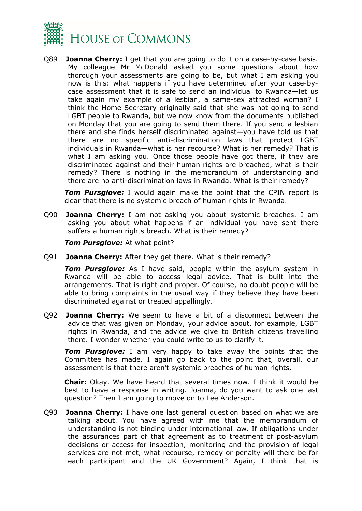

Q89 **Joanna Cherry:** I get that you are going to do it on a case-by-case basis. My colleague Mr McDonald asked you some questions about how thorough your assessments are going to be, but what I am asking you now is this: what happens if you have determined after your case-bycase assessment that it is safe to send an individual to Rwanda—let us take again my example of a lesbian, a same-sex attracted woman? I think the Home Secretary originally said that she was not going to send LGBT people to Rwanda, but we now know from the documents published on Monday that you are going to send them there. If you send a lesbian there and she finds herself discriminated against—you have told us that there are no specific anti-discrimination laws that protect LGBT individuals in Rwanda—what is her recourse? What is her remedy? That is what I am asking you. Once those people have got there, if they are discriminated against and their human rights are breached, what is their remedy? There is nothing in the memorandum of understanding and there are no anti-discrimination laws in Rwanda. What is their remedy?

*Tom Pursglove:* I would again make the point that the CPIN report is clear that there is no systemic breach of human rights in Rwanda.

Q90 **Joanna Cherry:** I am not asking you about systemic breaches. I am asking you about what happens if an individual you have sent there suffers a human rights breach. What is their remedy?

*Tom Pursglove:* At what point?

Q91 **Joanna Cherry:** After they get there. What is their remedy?

**Tom Pursglove:** As I have said, people within the asylum system in Rwanda will be able to access legal advice. That is built into the arrangements. That is right and proper. Of course, no doubt people will be able to bring complaints in the usual way if they believe they have been discriminated against or treated appallingly.

Q92 **Joanna Cherry:** We seem to have a bit of a disconnect between the advice that was given on Monday, your advice about, for example, LGBT rights in Rwanda, and the advice we give to British citizens travelling there. I wonder whether you could write to us to clarify it.

*Tom Pursglove:* I am very happy to take away the points that the Committee has made. I again go back to the point that, overall, our assessment is that there aren't systemic breaches of human rights.

**Chair:** Okay. We have heard that several times now. I think it would be best to have a response in writing. Joanna, do you want to ask one last question? Then I am going to move on to Lee Anderson.

Q93 **Joanna Cherry:** I have one last general question based on what we are talking about. You have agreed with me that the memorandum of understanding is not binding under international law. If obligations under the assurances part of that agreement as to treatment of post-asylum decisions or access for inspection, monitoring and the provision of legal services are not met, what recourse, remedy or penalty will there be for each participant and the UK Government? Again, I think that is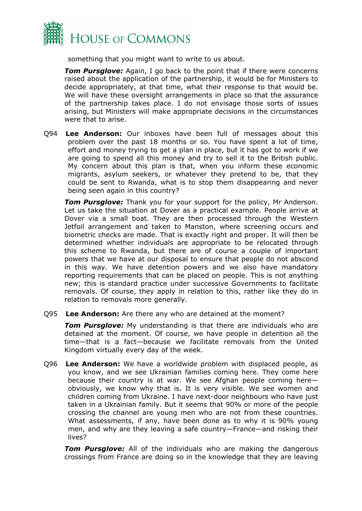

something that you might want to write to us about.

*Tom Pursglove:* Again, I go back to the point that if there were concerns raised about the application of the partnership, it would be for Ministers to decide appropriately, at that time, what their response to that would be. We will have these oversight arrangements in place so that the assurance of the partnership takes place. I do not envisage those sorts of issues arising, but Ministers will make appropriate decisions in the circumstances were that to arise.

Q94 **Lee Anderson:** Our inboxes have been full of messages about this problem over the past 18 months or so. You have spent a lot of time, effort and money trying to get a plan in place, but it has got to work if we are going to spend all this money and try to sell it to the British public. My concern about this plan is that, when you inform these economic migrants, asylum seekers, or whatever they pretend to be, that they could be sent to Rwanda, what is to stop them disappearing and never being seen again in this country?

*Tom Pursglove:* Thank you for your support for the policy, Mr Anderson. Let us take the situation at Dover as a practical example. People arrive at Dover via a small boat. They are then processed through the Western Jetfoil arrangement and taken to Manston, where screening occurs and biometric checks are made. That is exactly right and proper. It will then be determined whether individuals are appropriate to be relocated through this scheme to Rwanda, but there are of course a couple of important powers that we have at our disposal to ensure that people do not abscond in this way. We have detention powers and we also have mandatory reporting requirements that can be placed on people. This is not anything new; this is standard practice under successive Governments to facilitate removals. Of course, they apply in relation to this, rather like they do in relation to removals more generally.

Q95 **Lee Anderson:** Are there any who are detained at the moment?

**Tom Pursglove:** My understanding is that there are individuals who are detained at the moment. Of course, we have people in detention all the time—that is a fact—because we facilitate removals from the United Kingdom virtually every day of the week.

Q96 **Lee Anderson:** We have a worldwide problem with displaced people, as you know, and we see Ukrainian families coming here. They come here because their country is at war. We see Afghan people coming here obviously, we know why that is. It is very visible. We see women and children coming from Ukraine. I have next-door neighbours who have just taken in a Ukrainian family. But it seems that 90% or more of the people crossing the channel are young men who are not from these countries. What assessments, if any, have been done as to why it is 90% young men, and why are they leaving a safe country—France—and risking their lives?

*Tom Pursglove:* All of the individuals who are making the dangerous crossings from France are doing so in the knowledge that they are leaving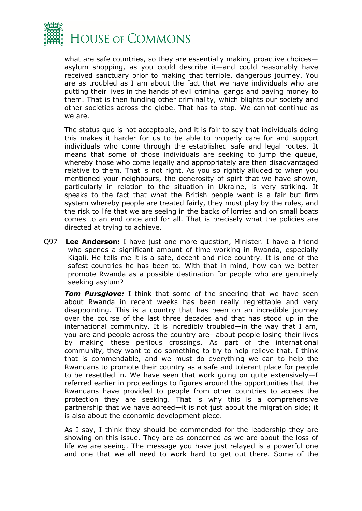

what are safe countries, so they are essentially making proactive choices asylum shopping, as you could describe it—and could reasonably have received sanctuary prior to making that terrible, dangerous journey. You are as troubled as I am about the fact that we have individuals who are putting their lives in the hands of evil criminal gangs and paying money to them. That is then funding other criminality, which blights our society and other societies across the globe. That has to stop. We cannot continue as we are.

The status quo is not acceptable, and it is fair to say that individuals doing this makes it harder for us to be able to properly care for and support individuals who come through the established safe and legal routes. It means that some of those individuals are seeking to jump the queue, whereby those who come legally and appropriately are then disadvantaged relative to them. That is not right. As you so rightly alluded to when you mentioned your neighbours, the generosity of spirt that we have shown, particularly in relation to the situation in Ukraine, is very striking. It speaks to the fact that what the British people want is a fair but firm system whereby people are treated fairly, they must play by the rules, and the risk to life that we are seeing in the backs of lorries and on small boats comes to an end once and for all. That is precisely what the policies are directed at trying to achieve.

Q97 **Lee Anderson:** I have just one more question, Minister. I have a friend who spends a significant amount of time working in Rwanda, especially Kigali. He tells me it is a safe, decent and nice country. It is one of the safest countries he has been to. With that in mind, how can we better promote Rwanda as a possible destination for people who are genuinely seeking asylum?

*Tom Pursglove:* I think that some of the sneering that we have seen about Rwanda in recent weeks has been really regrettable and very disappointing. This is a country that has been on an incredible journey over the course of the last three decades and that has stood up in the international community. It is incredibly troubled—in the way that I am, you are and people across the country are—about people losing their lives by making these perilous crossings. As part of the international community, they want to do something to try to help relieve that. I think that is commendable, and we must do everything we can to help the Rwandans to promote their country as a safe and tolerant place for people to be resettled in. We have seen that work going on quite extensively—I referred earlier in proceedings to figures around the opportunities that the Rwandans have provided to people from other countries to access the protection they are seeking. That is why this is a comprehensive partnership that we have agreed—it is not just about the migration side; it is also about the economic development piece.

As I say, I think they should be commended for the leadership they are showing on this issue. They are as concerned as we are about the loss of life we are seeing. The message you have just relayed is a powerful one and one that we all need to work hard to get out there. Some of the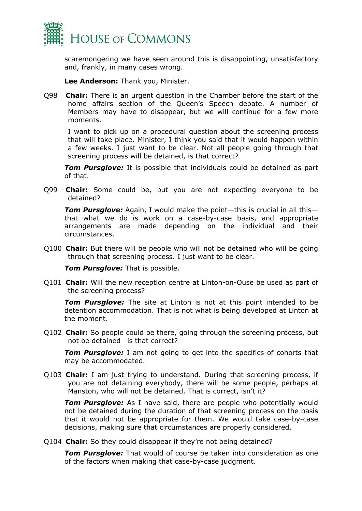

scaremongering we have seen around this is disappointing, unsatisfactory and, frankly, in many cases wrong.

**Lee Anderson:** Thank you, Minister.

Q98 **Chair:** There is an urgent question in the Chamber before the start of the home affairs section of the Queen's Speech debate. A number of Members may have to disappear, but we will continue for a few more moments.

I want to pick up on a procedural question about the screening process that will take place. Minister, I think you said that it would happen within a few weeks. I just want to be clear. Not all people going through that screening process will be detained, is that correct?

*Tom Pursglove:* It is possible that individuals could be detained as part of that.

Q99 **Chair:** Some could be, but you are not expecting everyone to be detained?

*Tom Pursglove:* Again, I would make the point—this is crucial in all this that what we do is work on a case-by-case basis, and appropriate arrangements are made depending on the individual and their circumstances.

Q100 **Chair:** But there will be people who will not be detained who will be going through that screening process. I just want to be clear.

*Tom Pursglove:* That is possible.

Q101 **Chair:** Will the new reception centre at Linton-on-Ouse be used as part of the screening process?

*Tom Pursglove:* The site at Linton is not at this point intended to be detention accommodation. That is not what is being developed at Linton at the moment.

Q102 **Chair:** So people could be there, going through the screening process, but not be detained—is that correct?

*Tom Pursglove:* I am not going to get into the specifics of cohorts that may be accommodated.

Q103 **Chair:** I am just trying to understand. During that screening process, if you are not detaining everybody, there will be some people, perhaps at Manston, who will not be detained. That is correct, isn't it?

*Tom Pursglove:* As I have said, there are people who potentially would not be detained during the duration of that screening process on the basis that it would not be appropriate for them. We would take case-by-case decisions, making sure that circumstances are properly considered.

Q104 **Chair:** So they could disappear if they're not being detained?

*Tom Pursglove:* That would of course be taken into consideration as one of the factors when making that case-by-case judgment.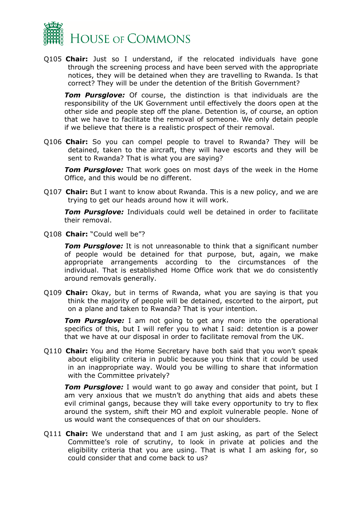

Q105 **Chair:** Just so I understand, if the relocated individuals have gone through the screening process and have been served with the appropriate notices, they will be detained when they are travelling to Rwanda. Is that correct? They will be under the detention of the British Government?

*Tom Pursglove:* Of course, the distinction is that individuals are the responsibility of the UK Government until effectively the doors open at the other side and people step off the plane. Detention is, of course, an option that we have to facilitate the removal of someone. We only detain people if we believe that there is a realistic prospect of their removal.

Q106 **Chair:** So you can compel people to travel to Rwanda? They will be detained, taken to the aircraft, they will have escorts and they will be sent to Rwanda? That is what you are saying?

*Tom Pursglove:* That work goes on most days of the week in the Home Office, and this would be no different.

Q107 **Chair:** But I want to know about Rwanda. This is a new policy, and we are trying to get our heads around how it will work.

*Tom Pursglove:* Individuals could well be detained in order to facilitate their removal.

Q108 **Chair:** "Could well be"?

*Tom Pursglove:* It is not unreasonable to think that a significant number of people would be detained for that purpose, but, again, we make appropriate arrangements according to the circumstances of the individual. That is established Home Office work that we do consistently around removals generally.

Q109 **Chair:** Okay, but in terms of Rwanda, what you are saying is that you think the majority of people will be detained, escorted to the airport, put on a plane and taken to Rwanda? That is your intention.

*Tom Pursglove:* I am not going to get any more into the operational specifics of this, but I will refer you to what I said: detention is a power that we have at our disposal in order to facilitate removal from the UK.

Q110 **Chair:** You and the Home Secretary have both said that you won't speak about eligibility criteria in public because you think that it could be used in an inappropriate way. Would you be willing to share that information with the Committee privately?

*Tom Pursglove:* I would want to go away and consider that point, but I am very anxious that we mustn't do anything that aids and abets these evil criminal gangs, because they will take every opportunity to try to flex around the system, shift their MO and exploit vulnerable people. None of us would want the consequences of that on our shoulders.

Q111 **Chair:** We understand that and I am just asking, as part of the Select Committee's role of scrutiny, to look in private at policies and the eligibility criteria that you are using. That is what I am asking for, so could consider that and come back to us?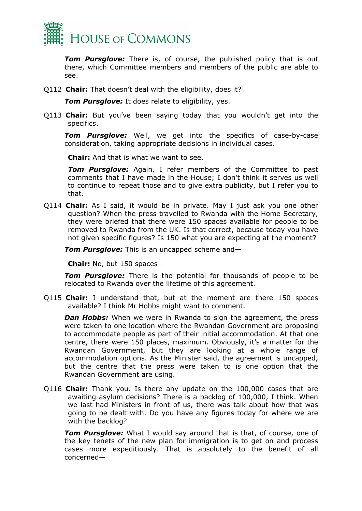

*Tom Pursglove:* There is, of course, the published policy that is out there, which Committee members and members of the public are able to see.

Q112 **Chair:** That doesn't deal with the eligibility, does it?

*Tom Pursglove:* It does relate to eligibility, yes.

Q113 **Chair:** But you've been saying today that you wouldn't get into the specifics.

*Tom Pursglove:* Well, we get into the specifics of case-by-case consideration, taking appropriate decisions in individual cases.

**Chair:** And that is what we want to see.

*Tom Pursglove:* Again, I refer members of the Committee to past comments that I have made in the House; I don't think it serves us well to continue to repeat those and to give extra publicity, but I refer you to that.

Q114 **Chair:** As I said, it would be in private. May I just ask you one other question? When the press travelled to Rwanda with the Home Secretary, they were briefed that there were 150 spaces available for people to be removed to Rwanda from the UK. Is that correct, because today you have not given specific figures? Is 150 what you are expecting at the moment?

*Tom Pursglove:* This is an uncapped scheme and—

**Chair:** No, but 150 spaces—

*Tom Pursglove:* There is the potential for thousands of people to be relocated to Rwanda over the lifetime of this agreement.

Q115 **Chair:** I understand that, but at the moment are there 150 spaces available? I think Mr Hobbs might want to comment.

*Dan Hobbs:* When we were in Rwanda to sign the agreement, the press were taken to one location where the Rwandan Government are proposing to accommodate people as part of their initial accommodation. At that one centre, there were 150 places, maximum. Obviously, it's a matter for the Rwandan Government, but they are looking at a whole range of accommodation options. As the Minister said, the agreement is uncapped, but the centre that the press were taken to is one option that the Rwandan Government are using.

Q116 **Chair:** Thank you. Is there any update on the 100,000 cases that are awaiting asylum decisions? There is a backlog of 100,000, I think. When we last had Ministers in front of us, there was talk about how that was going to be dealt with. Do you have any figures today for where we are with the backlog?

**Tom Pursglove:** What I would say around that is that, of course, one of the key tenets of the new plan for immigration is to get on and process cases more expeditiously. That is absolutely to the benefit of all concerned—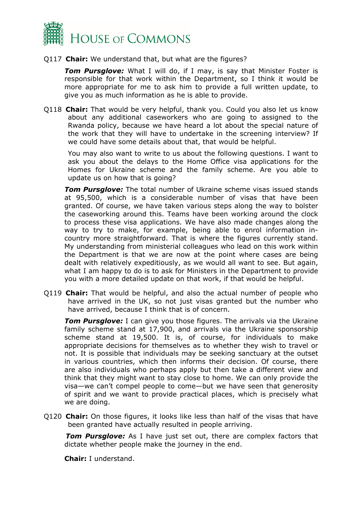

### Q117 **Chair:** We understand that, but what are the figures?

**Tom Pursglove:** What I will do, if I may, is say that Minister Foster is responsible for that work within the Department, so I think it would be more appropriate for me to ask him to provide a full written update, to give you as much information as he is able to provide.

Q118 **Chair:** That would be very helpful, thank you. Could you also let us know about any additional caseworkers who are going to assigned to the Rwanda policy, because we have heard a lot about the special nature of the work that they will have to undertake in the screening interview? If we could have some details about that, that would be helpful.

You may also want to write to us about the following questions. I want to ask you about the delays to the Home Office visa applications for the Homes for Ukraine scheme and the family scheme. Are you able to update us on how that is going?

*Tom Pursglove:* The total number of Ukraine scheme visas issued stands at 95,500, which is a considerable number of visas that have been granted. Of course, we have taken various steps along the way to bolster the caseworking around this. Teams have been working around the clock to process these visa applications. We have also made changes along the way to try to make, for example, being able to enrol information incountry more straightforward. That is where the figures currently stand. My understanding from ministerial colleagues who lead on this work within the Department is that we are now at the point where cases are being dealt with relatively expeditiously, as we would all want to see. But again, what I am happy to do is to ask for Ministers in the Department to provide you with a more detailed update on that work, if that would be helpful.

Q119 **Chair:** That would be helpful, and also the actual number of people who have arrived in the UK, so not just visas granted but the number who have arrived, because I think that is of concern.

**Tom Pursglove:** I can give you those figures. The arrivals via the Ukraine family scheme stand at 17,900, and arrivals via the Ukraine sponsorship scheme stand at 19,500. It is, of course, for individuals to make appropriate decisions for themselves as to whether they wish to travel or not. It is possible that individuals may be seeking sanctuary at the outset in various countries, which then informs their decision. Of course, there are also individuals who perhaps apply but then take a different view and think that they might want to stay close to home. We can only provide the visa—we can't compel people to come—but we have seen that generosity of spirit and we want to provide practical places, which is precisely what we are doing.

Q120 **Chair:** On those figures, it looks like less than half of the visas that have been granted have actually resulted in people arriving.

*Tom Pursglove:* As I have just set out, there are complex factors that dictate whether people make the journey in the end.

**Chair:** I understand.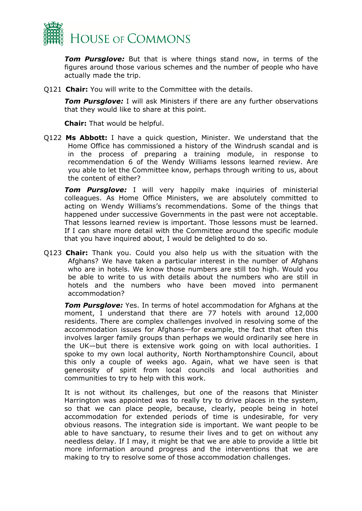

*Tom Pursglove:* But that is where things stand now, in terms of the figures around those various schemes and the number of people who have actually made the trip.

Q121 **Chair:** You will write to the Committee with the details.

*Tom Pursglove:* I will ask Ministers if there are any further observations that they would like to share at this point.

**Chair:** That would be helpful.

Q122 **Ms Abbott:** I have a quick question, Minister. We understand that the Home Office has commissioned a history of the Windrush scandal and is in the process of preparing a training module, in response to recommendation 6 of the Wendy Williams lessons learned review. Are you able to let the Committee know, perhaps through writing to us, about the content of either?

*Tom Pursglove:* I will very happily make inquiries of ministerial colleagues. As Home Office Ministers, we are absolutely committed to acting on Wendy Williams's recommendations. Some of the things that happened under successive Governments in the past were not acceptable. That lessons learned review is important. Those lessons must be learned. If I can share more detail with the Committee around the specific module that you have inquired about, I would be delighted to do so.

Q123 **Chair:** Thank you. Could you also help us with the situation with the Afghans? We have taken a particular interest in the number of Afghans who are in hotels. We know those numbers are still too high. Would you be able to write to us with details about the numbers who are still in hotels and the numbers who have been moved into permanent accommodation?

*Tom Pursglove:* Yes. In terms of hotel accommodation for Afghans at the moment, I understand that there are 77 hotels with around 12,000 residents. There are complex challenges involved in resolving some of the accommodation issues for Afghans—for example, the fact that often this involves larger family groups than perhaps we would ordinarily see here in the UK—but there is extensive work going on with local authorities. I spoke to my own local authority, North Northamptonshire Council, about this only a couple of weeks ago. Again, what we have seen is that generosity of spirit from local councils and local authorities and communities to try to help with this work.

It is not without its challenges, but one of the reasons that Minister Harrington was appointed was to really try to drive places in the system, so that we can place people, because, clearly, people being in hotel accommodation for extended periods of time is undesirable, for very obvious reasons. The integration side is important. We want people to be able to have sanctuary, to resume their lives and to get on without any needless delay. If I may, it might be that we are able to provide a little bit more information around progress and the interventions that we are making to try to resolve some of those accommodation challenges.